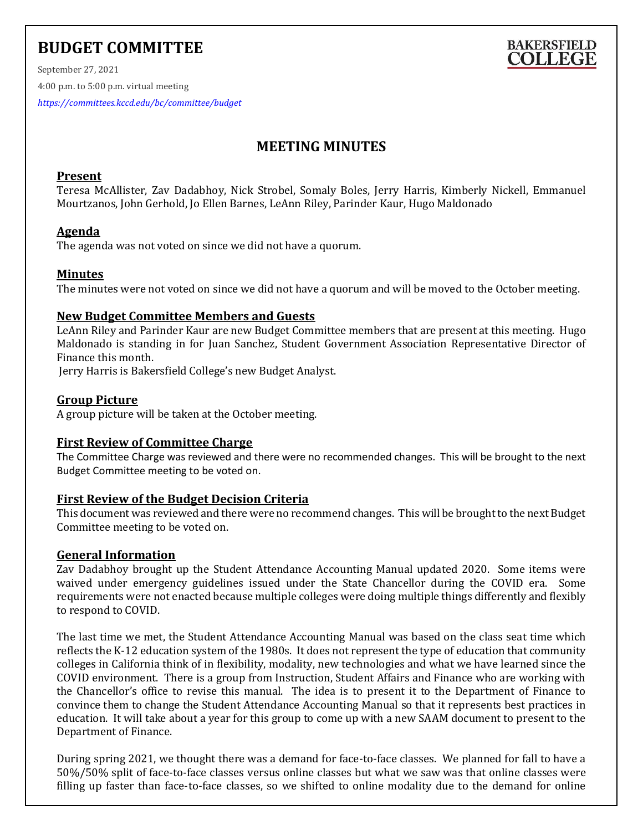# **BUDGET COMMITTEE**



September 27, 2021 4:00 p.m. to 5:00 p.m. virtual meeting

*<https://committees.kccd.edu/bc/committee/budget>*

# **MEETING MINUTES**

# **Present**

Teresa McAllister, Zav Dadabhoy, Nick Strobel, Somaly Boles, Jerry Harris, Kimberly Nickell, Emmanuel Mourtzanos, John Gerhold, Jo Ellen Barnes, LeAnn Riley, Parinder Kaur, Hugo Maldonado

# **Agenda**

The agenda was not voted on since we did not have a quorum.

# **Minutes**

The minutes were not voted on since we did not have a quorum and will be moved to the October meeting.

# **New Budget Committee Members and Guests**

LeAnn Riley and Parinder Kaur are new Budget Committee members that are present at this meeting. Hugo Maldonado is standing in for Juan Sanchez, Student Government Association Representative Director of Finance this month.

Jerry Harris is Bakersfield College's new Budget Analyst.

#### **Group Picture**

A group picture will be taken at the October meeting.

#### **First Review of Committee Charge**

The Committee Charge was reviewed and there were no recommended changes. This will be brought to the next Budget Committee meeting to be voted on.

#### **First Review of the Budget Decision Criteria**

This document was reviewed and there were no recommend changes. This will be brought to the next Budget Committee meeting to be voted on.

#### **General Information**

Zav Dadabhoy brought up the Student Attendance Accounting Manual updated 2020. Some items were waived under emergency guidelines issued under the State Chancellor during the COVID era. Some requirements were not enacted because multiple colleges were doing multiple things differently and flexibly to respond to COVID.

The last time we met, the Student Attendance Accounting Manual was based on the class seat time which reflects the K-12 education system of the 1980s. It does not represent the type of education that community colleges in California think of in flexibility, modality, new technologies and what we have learned since the COVID environment. There is a group from Instruction, Student Affairs and Finance who are working with the Chancellor's office to revise this manual. The idea is to present it to the Department of Finance to convince them to change the Student Attendance Accounting Manual so that it represents best practices in education. It will take about a year for this group to come up with a new SAAM document to present to the Department of Finance.

During spring 2021, we thought there was a demand for face-to-face classes. We planned for fall to have a 50%/50% split of face-to-face classes versus online classes but what we saw was that online classes were filling up faster than face-to-face classes, so we shifted to online modality due to the demand for online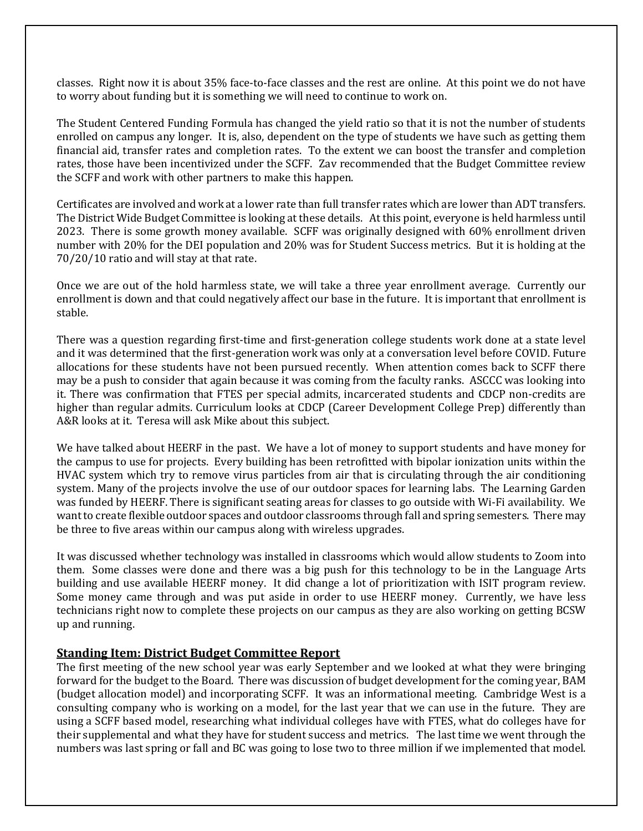classes. Right now it is about 35% face-to-face classes and the rest are online. At this point we do not have to worry about funding but it is something we will need to continue to work on.

The Student Centered Funding Formula has changed the yield ratio so that it is not the number of students enrolled on campus any longer. It is, also, dependent on the type of students we have such as getting them financial aid, transfer rates and completion rates. To the extent we can boost the transfer and completion rates, those have been incentivized under the SCFF. Zav recommended that the Budget Committee review the SCFF and work with other partners to make this happen.

Certificates are involved and work at a lower rate than full transfer rates which are lower than ADT transfers. The District Wide Budget Committee is looking at these details. At this point, everyone is held harmless until 2023. There is some growth money available. SCFF was originally designed with 60% enrollment driven number with 20% for the DEI population and 20% was for Student Success metrics. But it is holding at the 70/20/10 ratio and will stay at that rate.

Once we are out of the hold harmless state, we will take a three year enrollment average. Currently our enrollment is down and that could negatively affect our base in the future. It is important that enrollment is stable.

There was a question regarding first-time and first-generation college students work done at a state level and it was determined that the first-generation work was only at a conversation level before COVID. Future allocations for these students have not been pursued recently. When attention comes back to SCFF there may be a push to consider that again because it was coming from the faculty ranks. ASCCC was looking into it. There was confirmation that FTES per special admits, incarcerated students and CDCP non-credits are higher than regular admits. Curriculum looks at CDCP (Career Development College Prep) differently than A&R looks at it. Teresa will ask Mike about this subject.

We have talked about HEERF in the past. We have a lot of money to support students and have money for the campus to use for projects. Every building has been retrofitted with bipolar ionization units within the HVAC system which try to remove virus particles from air that is circulating through the air conditioning system. Many of the projects involve the use of our outdoor spaces for learning labs. The Learning Garden was funded by HEERF. There is significant seating areas for classes to go outside with Wi-Fi availability. We want to create flexible outdoor spaces and outdoor classrooms through fall and spring semesters. There may be three to five areas within our campus along with wireless upgrades.

It was discussed whether technology was installed in classrooms which would allow students to Zoom into them. Some classes were done and there was a big push for this technology to be in the Language Arts building and use available HEERF money. It did change a lot of prioritization with ISIT program review. Some money came through and was put aside in order to use HEERF money. Currently, we have less technicians right now to complete these projects on our campus as they are also working on getting BCSW up and running.

#### **Standing Item: District Budget Committee Report**

The first meeting of the new school year was early September and we looked at what they were bringing forward for the budget to the Board. There was discussion of budget development for the coming year, BAM (budget allocation model) and incorporating SCFF. It was an informational meeting. Cambridge West is a consulting company who is working on a model, for the last year that we can use in the future. They are using a SCFF based model, researching what individual colleges have with FTES, what do colleges have for their supplemental and what they have for student success and metrics. The last time we went through the numbers was last spring or fall and BC was going to lose two to three million if we implemented that model.